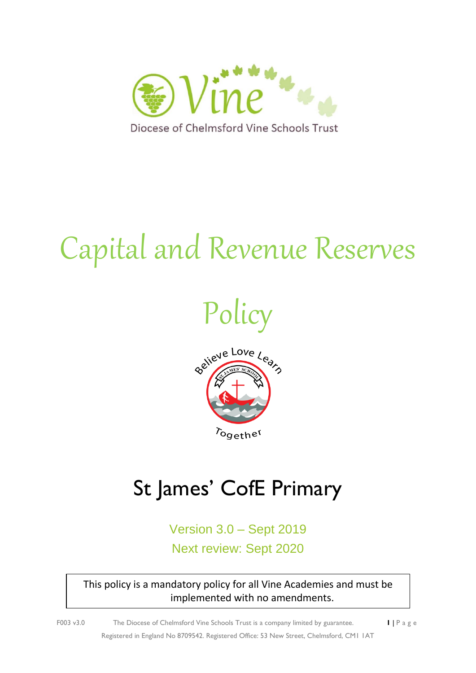

# Capital and Revenue Reserves





## St James' CofE Primary

Version 3.0 – Sept 2019 Next review: Sept 2020

This policy is a mandatory policy for all Vine Academies and must be implemented with no amendments.

F003 v3.0 The Diocese of Chelmsford Vine Schools Trust is a company limited by guarantee. **1** | P a g e Registered in England No 8709542. Registered Office: 53 New Street, Chelmsford, CM1 1AT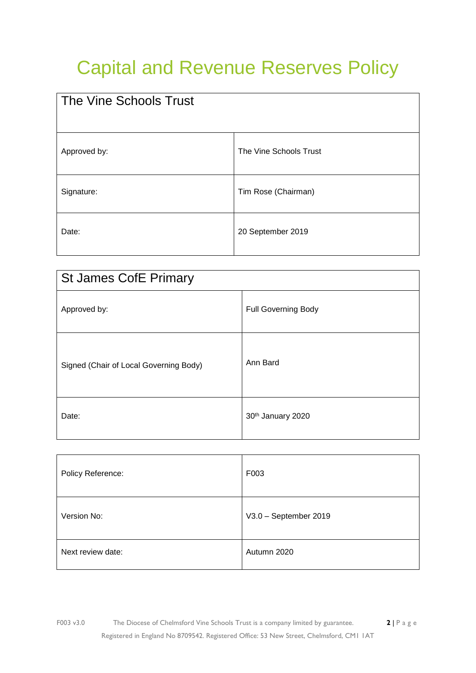### Capital and Revenue Reserves Policy

| The Vine Schools Trust |                        |
|------------------------|------------------------|
| Approved by:           | The Vine Schools Trust |
| Signature:             | Tim Rose (Chairman)    |
| Date:                  | 20 September 2019      |

| <b>St James CofE Primary</b>           |                            |  |
|----------------------------------------|----------------------------|--|
| Approved by:                           | <b>Full Governing Body</b> |  |
| Signed (Chair of Local Governing Body) | Ann Bard                   |  |
| Date:                                  | 30th January 2020          |  |

| Policy Reference: | F003                  |
|-------------------|-----------------------|
| Version No:       | V3.0 - September 2019 |
| Next review date: | Autumn 2020           |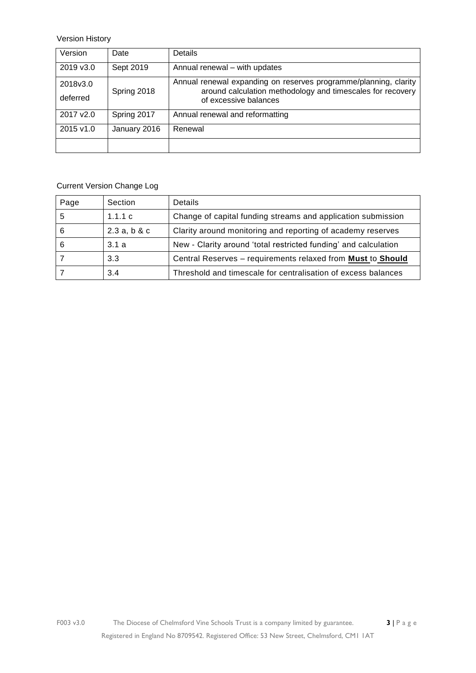Version History

| Version              | Date         | <b>Details</b>                                                                                                                                          |
|----------------------|--------------|---------------------------------------------------------------------------------------------------------------------------------------------------------|
| 2019 v3.0            | Sept 2019    | Annual renewal - with updates                                                                                                                           |
| 2018v3.0<br>deferred | Spring 2018  | Annual renewal expanding on reserves programme/planning, clarity<br>around calculation methodology and timescales for recovery<br>of excessive balances |
| 2017 v2.0            | Spring 2017  | Annual renewal and reformatting                                                                                                                         |
| 2015 v1.0            | January 2016 | Renewal                                                                                                                                                 |
|                      |              |                                                                                                                                                         |

#### Current Version Change Log

| Page | Section     | Details                                                         |
|------|-------------|-----------------------------------------------------------------|
| 5    | 1.1.1 c     | Change of capital funding streams and application submission    |
| 6    | 2.3a, b & c | Clarity around monitoring and reporting of academy reserves     |
| 6    | 3.1a        | New - Clarity around 'total restricted funding' and calculation |
|      | 3.3         | Central Reserves - requirements relaxed from Must to Should     |
|      | 3.4         | Threshold and timescale for centralisation of excess balances   |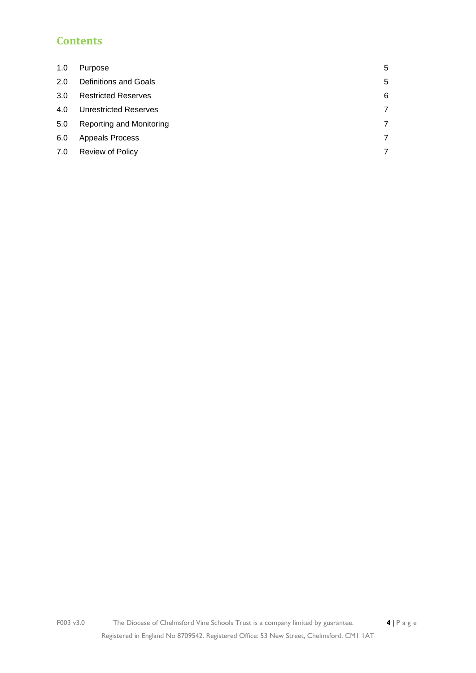### **Contents**

| 1.0 | Purpose                    | 5 |
|-----|----------------------------|---|
| 2.0 | Definitions and Goals      | 5 |
| 3.0 | <b>Restricted Reserves</b> | 6 |
| 4.0 | Unrestricted Reserves      | 7 |
| 5.0 | Reporting and Monitoring   | 7 |
| 6.0 | <b>Appeals Process</b>     | 7 |
| 7.0 | <b>Review of Policy</b>    | 7 |
|     |                            |   |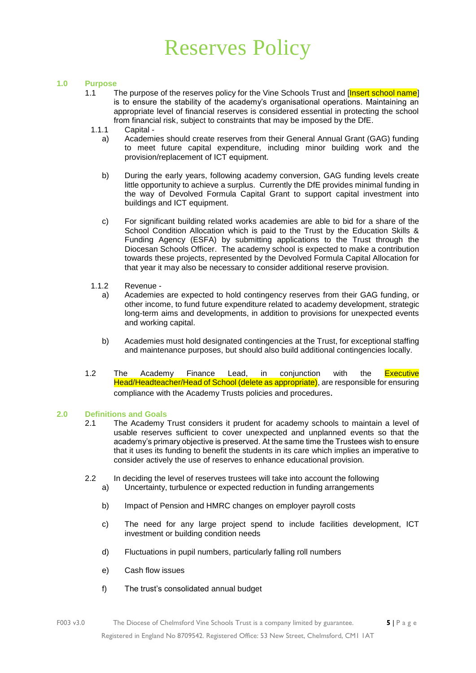### Reserves Policy

#### <span id="page-4-0"></span>**1.0 Purpose**

- 1.1 The purpose of the reserves policy for the Vine Schools Trust and [Insert school name] is to ensure the stability of the academy's organisational operations. Maintaining an appropriate level of financial reserves is considered essential in protecting the school from financial risk, subject to constraints that may be imposed by the DfE.
	- 1.1.1 Capital
		- a) Academies should create reserves from their General Annual Grant (GAG) funding to meet future capital expenditure, including minor building work and the provision/replacement of ICT equipment.
		- b) During the early years, following academy conversion, GAG funding levels create little opportunity to achieve a surplus. Currently the DfE provides minimal funding in the way of Devolved Formula Capital Grant to support capital investment into buildings and ICT equipment.
		- c) For significant building related works academies are able to bid for a share of the School Condition Allocation which is paid to the Trust by the Education Skills & Funding Agency (ESFA) by submitting applications to the Trust through the Diocesan Schools Officer. The academy school is expected to make a contribution towards these projects, represented by the Devolved Formula Capital Allocation for that year it may also be necessary to consider additional reserve provision.
	- 1.1.2 Revenue
		- a) Academies are expected to hold contingency reserves from their GAG funding, or other income, to fund future expenditure related to academy development, strategic long-term aims and developments, in addition to provisions for unexpected events and working capital.
		- b) Academies must hold designated contingencies at the Trust, for exceptional staffing and maintenance purposes, but should also build additional contingencies locally.
- 1.2 The Academy Finance Lead, in conjunction with the Executive Head/Headteacher/Head of School (delete as appropriate), are responsible for ensuring compliance with the Academy Trusts policies and procedures.

#### <span id="page-4-1"></span>**2.0 Definitions and Goals**

- 2.1 The Academy Trust considers it prudent for academy schools to maintain a level of usable reserves sufficient to cover unexpected and unplanned events so that the academy's primary objective is preserved. At the same time the Trustees wish to ensure that it uses its funding to benefit the students in its care which implies an imperative to consider actively the use of reserves to enhance educational provision.
- 2.2 In deciding the level of reserves trustees will take into account the following a) Uncertainty, turbulence or expected reduction in funding arrangements
	- b) Impact of Pension and HMRC changes on employer payroll costs
	- c) The need for any large project spend to include facilities development, ICT investment or building condition needs
	- d) Fluctuations in pupil numbers, particularly falling roll numbers
	- e) Cash flow issues
	- f) The trust's consolidated annual budget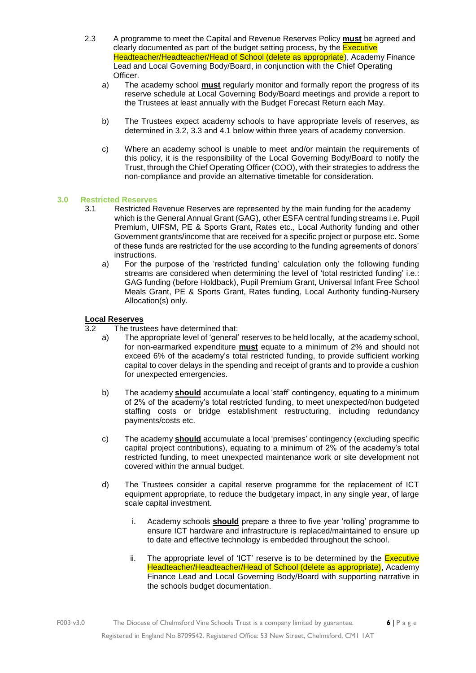- <span id="page-5-2"></span>2.3 A programme to meet the Capital and Revenue Reserves Policy **must** be agreed and clearly documented as part of the budget setting process, by the **Executive** Headteacher/Headteacher/Head of School (delete as appropriate), Academy Finance Lead and Local Governing Body/Board, in conjunction with the Chief Operating Officer.
	- a) The academy school **must** regularly monitor and formally report the progress of its reserve schedule at Local Governing Body/Board meetings and provide a report to the Trustees at least annually with the Budget Forecast Return each May.
	- b) The Trustees expect academy schools to have appropriate levels of reserves, as determined in 3.2, 3.3 and 4.1 below within three years of academy conversion.
	- c) Where an academy school is unable to meet and/or maintain the requirements of this policy, it is the responsibility of the Local Governing Body/Board to notify the Trust, through the Chief Operating Officer (COO), with their strategies to address the non-compliance and provide an alternative timetable for consideration.

#### <span id="page-5-1"></span>**3.0 Restricted Reserves**

- <span id="page-5-0"></span>3.1 Restricted Revenue Reserves are represented by the main funding for the academy which is the General Annual Grant (GAG), other ESFA central funding streams i.e. Pupil Premium, UIFSM, PE & Sports Grant, Rates etc., Local Authority funding and other Government grants/income that are received for a specific project or purpose etc. Some of these funds are restricted for the use according to the funding agreements of donors' instructions.
	- a) For the purpose of the 'restricted funding' calculation only the following funding streams are considered when determining the level of 'total restricted funding' i.e.: GAG funding (before Holdback), Pupil Premium Grant, Universal Infant Free School Meals Grant, PE & Sports Grant, Rates funding, Local Authority funding-Nursery Allocation(s) only.

#### **Local Reserves**

- 3.2 The trustees have determined that:
	- a) The appropriate level of 'general' reserves to be held locally, at the academy school, for non-earmarked expenditure **must** equate to a minimum of 2% and should not exceed 6% of the academy's total restricted funding, to provide sufficient working capital to cover delays in the spending and receipt of grants and to provide a cushion for unexpected emergencies.
	- b) The academy **should** accumulate a local 'staff' contingency, equating to a minimum of 2% of the academy's total restricted funding, to meet unexpected/non budgeted staffing costs or bridge establishment restructuring, including redundancy payments/costs etc.
	- c) The academy **should** accumulate a local 'premises' contingency (excluding specific capital project contributions), equating to a minimum of 2% of the academy's total restricted funding, to meet unexpected maintenance work or site development not covered within the annual budget.
	- d) The Trustees consider a capital reserve programme for the replacement of ICT equipment appropriate, to reduce the budgetary impact, in any single year, of large scale capital investment.
		- i. Academy schools **should** prepare a three to five year 'rolling' programme to ensure ICT hardware and infrastructure is replaced/maintained to ensure up to date and effective technology is embedded throughout the school.
		- ii. The appropriate level of 'ICT' reserve is to be determined by the **Executive** Headteacher/Headteacher/Head of School (delete as appropriate), Academy Finance Lead and Local Governing Body/Board with supporting narrative in the schools budget documentation.